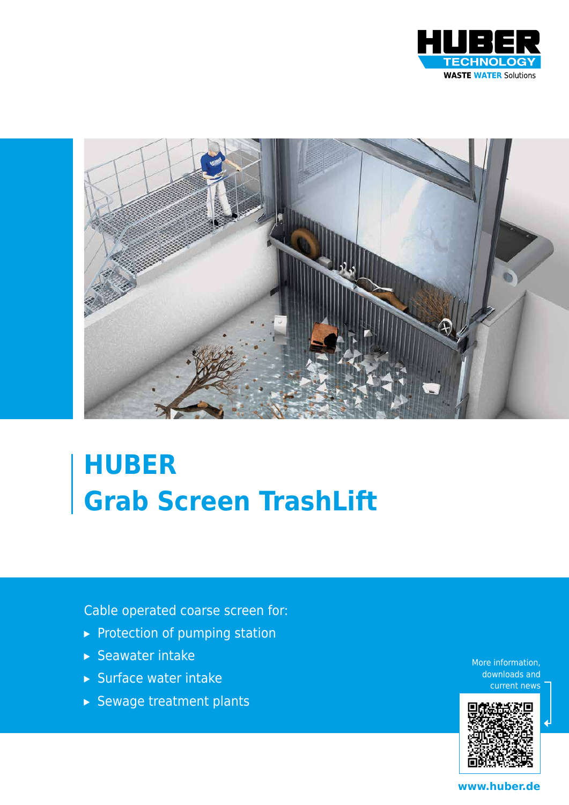



# **HUBER Grab Screen TrashLift**

Cable operated coarse screen for:

- ▸ Protection of pumping station
- ▸ Seawater intake
- ▸ Surface water intake
- ▸ Sewage treatment plants

More information, downloads and current news



**www.huber.de**